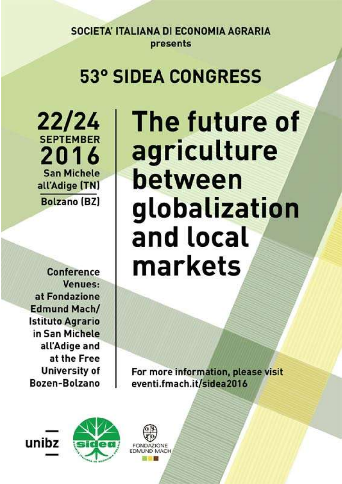# **53° SIDEA CONGRESS**

22/24 **SEPTEMBER** 2016 **San Michele** all'Adige (TN) **Bolzano (BZ)** 

**Conference** Venues: at Fondazione **Edmund Mach/ Istituto Agrario** in San Michele all'Adige and at the Free **University of** Bozen-Bolzano

The future of agriculture between globalization and local markets

For more information, please visit eventi.fmach.it/sidea2016



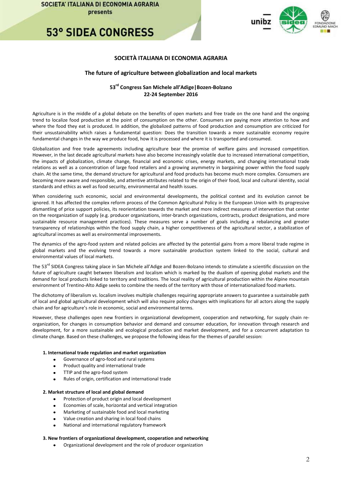**53° SIDEA CONGRESS** 



### **SOCIETÀ ITALIANA DI ECONOMIA AGRARIA**

### **The future of agriculture between globalization and local markets**

### **53 rd Congress San Michele all'Adige|Bozen-Bolzano 22-24 September 2016**

Agriculture is in the middle of a global debate on the benefits of open markets and free trade on the one hand and the ongoing trend to localize food production at the point of consumption on the other. Consumers are paying more attention to how and where the food they eat is produced. In addition, the globalized patterns of food production and consumption are criticized for their unsustainability which raises a fundamental question: Does the transition towards a more sustainable economy require fundamental changes in the way we produce food, how it is processed and where it is transported and consumed.

Globalization and free trade agreements including agriculture bear the promise of welfare gains and increased competition. However, in the last decade agricultural markets have also become increasingly volatile due to increased international competition, the impacts of globalization, climate change, financial and economic crises, energy markets, and changing international trade relations as well as a concentration of large food retailers and a growing asymmetry in bargaining power within the food supply chain. At the same time, the demand structure for agricultural and food products has become much more complex. Consumers are becoming more aware and responsible, and attentive attributes related to the origin of their food, local and cultural identity, social standards and ethics as well as food security, environmental and health issues.

When considering such economic, social and environmental developments, the political context and its evolution cannot be ignored. It has affected the complex reform process of the Common Agricultural Policy in the European Union with its progressive dismantling of price support policies, its reorientation towards the market and more indirect measures of intervention that center on the reorganization of supply (e.g. producer organizations, inter-branch organizations, contracts, product designations, and more sustainable resource management practices). These measures serve a number of goals including a rebalancing and greater transparency of relationships within the food supply chain, a higher competitiveness of the agricultural sector, a stabilization of agricultural incomes as well as environmental improvements.

The dynamics of the agro-food system and related policies are affected by the potential gains from a more liberal trade regime in global markets and the evolving trend towards a more sustainable production system linked to the social, cultural and environmental values of local markets.

The 53<sup>rd</sup> SIDEA Congress taking place in San Michele all'Adige and Bozen-Bolzano intends to stimulate a scientific discussion on the future of agriculture caught between liberalism and localism which is marked by the dualism of opening global markets and the demand for local products linked to territory and traditions. The local reality of agricultural production within the Alpine mountain environment of Trentino-Alto Adige seeks to combine the needs of the territory with those of internationalized food markets.

The dichotomy of liberalism vs. localism involves multiple challenges requiring appropriate answers to guarantee a sustainable path of local and global agricultural development which will also require policy changes with implications for all actors along the supply chain and for agriculture's role in economic, social and environmental terms.

However, these challenges open new frontiers in organizational development, cooperation and networking, for supply chain reorganization, for changes in consumption behavior and demand and consumer education, for innovation through research and development, for a more sustainable and ecological production and market development, and for a concurrent adaptation to climate change. Based on these challenges, we propose the following ideas for the themes of parallel session:

#### **1. International trade regulation and market organization**

- Governance of agro-food and rural systems
- Product quality and international trade
- TTIP and the agro-food system
- Rules of origin, certification and international trade

#### **2. Market structure of local and global demand**

- Protection of product origin and local development
- Economies of scale, horizontal and vertical integration
- Marketing of sustainable food and local marketing
- Value creation and sharing in local food chains
- National and international regulatory framework

#### **3. New frontiers of organizational development, cooperation and networking**

Organizational development and the role of producer organization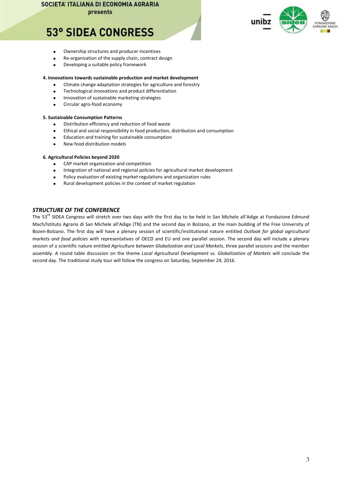presents

# **53° SIDEA CONGRESS**

- Ownership structures and producer incentives
- Re-organization of the supply chain, contract design
- $\bullet$ Developing a suitable policy framework

### **4. Innovations towards sustainable production and market development**

- Climate change adaptation strategies for agriculture and forestry
- Technological innovations and product differentiation
- Innovation of sustainable marketing strategies
- $\bullet$ Circular agro-food economy

#### **5. Sustainable Consumption Patterns**

- Distribution efficiency and reduction of food waste
- Ethical and social responsibility in food production, distribution and consumption
- Education and training for sustainable consumption
- New food distribution models

### **6. Agricultural Policies beyond 2020**

- CAP market organization and competition
- Integration of national and regional policies for agricultural market development
- Policy evaluation of existing market regulations and organization rules
- Rural development policies in the context of market regulation

### *STRUCTURE OF THE CONFERENCE*

The 53<sup>rd</sup> SIDEA Congress will stretch over two days with the first day to be held in San Michele all'Adige at Fondazione Edmund Mach/Istituto Agrario di San Michele all'Adige (TN) and the second day in Bolzano, at the main building of the Free University of Bozen-Bolzano. The first day will have a plenary session of scientific/institutional nature entitled *Outlook for global agricultural markets and food policies* with representatives of OECD and EU and one parallel session. The second day will include a plenary session of a scientific nature entitled *Agriculture between Globalization and Local Markets*, three parallel sessions and the member assembly. A round table discussion on the theme *Local Agricultural Development vs. Globalization of Markets* will conclude the second day. The traditional study tour will follow the congress on Saturday, September 24, 2016.

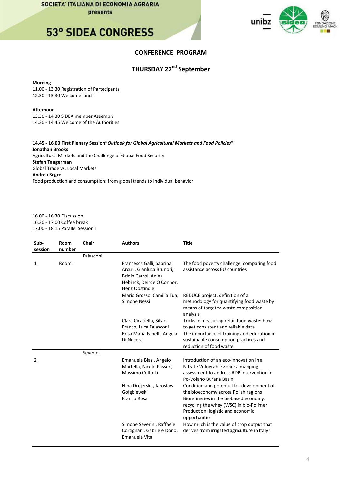### **53° SIDEA CONGRESS**



### **CONFERENCE PROGRAM**

### **THURSDAY 22nd September**

#### **Morning**

11.00 - 13.30 Registration of Partecipants 12.30 - 13.30 Welcome lunch

### **Afternoon**

13.30 - 14.30 SIDEA member Assembly 14.30 - 14.45 Welcome of the Authorities

**14.45 - 16.00 First Plenary Session"***Outlook for Global Agricultural Markets and Food Policies***" Jonathan Brooks** Agricultural Markets and the Challenge of Global Food Security **Stefan Tangerman** Global Trade vs. Local Markets **Andrea Segrè** Food production and consumption: from global trends to individual behavior

16.00 - 16.30 Discussion 16.30 - 17.00 Coffee break 17.00 - 18.15 Parallel Session I

| Sub-<br>session | Room<br>number | Chair     | <b>Authors</b>                                                                                                                      | <b>Title</b>                                                                                                                                                                                                                  |
|-----------------|----------------|-----------|-------------------------------------------------------------------------------------------------------------------------------------|-------------------------------------------------------------------------------------------------------------------------------------------------------------------------------------------------------------------------------|
|                 |                | Falasconi |                                                                                                                                     |                                                                                                                                                                                                                               |
| 1               | Room1          |           | Francesca Galli, Sabrina<br>Arcuri, Gianluca Brunori,<br>Bridin Carrol, Aniek<br>Hebinck, Deirde O Connor,<br><b>Henk Oostindie</b> | The food poverty challenge: comparing food<br>assistance across EU countries                                                                                                                                                  |
|                 |                |           | Mario Grosso, Camilla Tua,<br>Simone Nessi                                                                                          | REDUCE project: definition of a<br>methodology for quantifying food waste by<br>means of targeted waste composition<br>analysis                                                                                               |
|                 |                |           | Clara Cicatiello, Silvio<br>Franco, Luca Falasconi<br>Rosa Maria Fanelli, Angela<br>Di Nocera                                       | Tricks in measuring retail food waste: how<br>to get consistent and reliable data<br>The importance of training and education in<br>sustainable consumption practices and<br>reduction of food waste                          |
|                 |                | Severini  |                                                                                                                                     |                                                                                                                                                                                                                               |
| 2               |                |           | Emanuele Blasi, Angelo<br>Martella, Nicolò Passeri,<br>Massimo Coltorti                                                             | Introduction of an eco-innovation in a<br>Nitrate Vulnerable Zone: a mapping<br>assessment to address RDP intervention in<br>Po-Volano Burana Basin                                                                           |
|                 |                |           | Nina Drejerska, Jarosław<br>Gołebiewski<br>Franco Rosa                                                                              | Condition and potential for development of<br>the bioeconomy across Polish regions<br>Biorefineries in the biobased economy:<br>recycling the whey (WSC) in bio-Polimer<br>Production: logistic and economic<br>opportunities |
|                 |                |           | Simone Severini, Raffaele<br>Cortignani, Gabriele Dono,<br>Emanuele Vita                                                            | How much is the value of crop output that<br>derives from irrigated agriculture in Italy?                                                                                                                                     |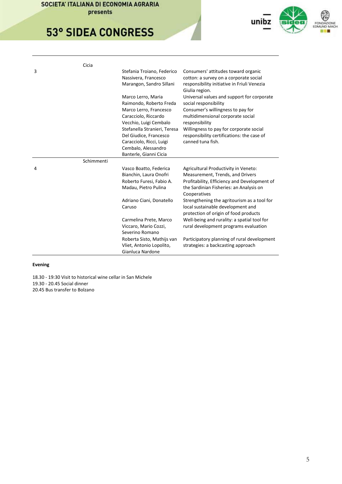# **53° SIDEA CONGRESS**



|   | Cicia      |                                                        |                                                                                       |
|---|------------|--------------------------------------------------------|---------------------------------------------------------------------------------------|
| 3 |            | Stefania Troiano, Federico<br>Nassivera, Francesco     | Consumers' attitudes toward organic<br>cotton: a survey on a corporate social         |
|   |            | Marangon, Sandro Sillani                               | responsibility initiative in Friuli Venezia<br>Giulia region.                         |
|   |            | Marco Lerro, Maria                                     | Universal values and support for corporate                                            |
|   |            | Raimondo, Roberto Freda                                | social responsibility                                                                 |
|   |            | Marco Lerro, Francesco                                 | Consumer's willingness to pay for                                                     |
|   |            | Caracciolo, Riccardo                                   | multidimensional corporate social                                                     |
|   |            | Vecchio, Luigi Cembalo<br>Stefanella Stranieri, Teresa | responsibility                                                                        |
|   |            | Del Giudice, Francesco                                 | Willingness to pay for corporate social<br>responsibility certifications: the case of |
|   |            | Caracciolo, Ricci, Luigi                               | canned tuna fish.                                                                     |
|   |            | Cembalo, Alessandro                                    |                                                                                       |
|   |            | Banterle, Gianni Cicia                                 |                                                                                       |
|   | Schimmenti |                                                        |                                                                                       |
| 4 |            |                                                        |                                                                                       |
|   |            | Vasco Boatto, Federica                                 | Agricultural Productivity in Veneto:                                                  |
|   |            | Bianchin, Laura Onofri                                 | Measurement, Trends, and Drivers                                                      |
|   |            | Roberto Furesi, Fabio A.                               | Profitability, Efficiency and Development of                                          |
|   |            | Madau, Pietro Pulina                                   | the Sardinian Fisheries: an Analysis on<br>Cooperatives                               |
|   |            | Adriano Ciani, Donatello                               | Strengthening the agritourism as a tool for                                           |
|   |            | Caruso                                                 | local sustainable development and<br>protection of origin of food products            |
|   |            | Carmelina Prete, Marco                                 | Well-being and rurality: a spatial tool for                                           |
|   |            | Viccaro, Mario Cozzi,                                  | rural development programs evaluation                                                 |
|   |            | Severino Romano                                        |                                                                                       |
|   |            | Roberta Sisto, Mathijs van                             | Participatory planning of rural development                                           |
|   |            | Vliet, Antonio Lopolito,<br>Gianluca Nardone           | strategies: a backcasting approach                                                    |

### **Evening**

18.30 - 19:30 Visit to historical wine cellar in San Michele 19.30 - 20.45 Social dinner 20.45 Bus transfer to Bolzano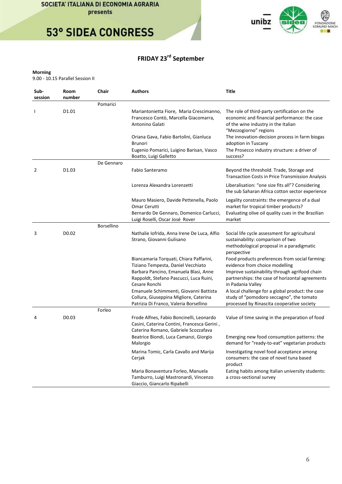



### **FRIDAY 23rd September**

### **Morning**

9.00 - 10.15 Parallel Session II

| Sub-<br>session | Room<br>number    | Chair             | <b>Authors</b>                                                                                                                                                            | Title                                                                                                                                                        |
|-----------------|-------------------|-------------------|---------------------------------------------------------------------------------------------------------------------------------------------------------------------------|--------------------------------------------------------------------------------------------------------------------------------------------------------------|
|                 |                   | Pomarici          |                                                                                                                                                                           |                                                                                                                                                              |
| J.              | D1.01             |                   | Mariantonietta Fiore, Maria Crescimanno,<br>Francesco Contò, Marcella Giacomarra,<br>Antonino Galati                                                                      | The role of third-party certification on the<br>economic and financial performance: the case<br>of the wine industry in the Italian<br>"Mezzogiorno" regions |
|                 |                   |                   | Oriana Gava, Fabio Bartolini, Gianluca<br><b>Brunori</b>                                                                                                                  | The innovation-decision process in farm biogas<br>adoption in Tuscany                                                                                        |
|                 |                   |                   | Eugenio Pomarici, Luigino Barisan, Vasco<br>Boatto, Luigi Galletto                                                                                                        | The Prosecco industry structure: a driver of<br>success?                                                                                                     |
|                 |                   | De Gennaro        |                                                                                                                                                                           |                                                                                                                                                              |
| 2               | D <sub>1.03</sub> |                   | Fabio Santeramo                                                                                                                                                           | Beyond the threshold. Trade, Storage and<br><b>Transaction Costs in Price Transmission Analysis</b>                                                          |
|                 |                   |                   | Lorenza Alexandra Lorenzetti                                                                                                                                              | Liberalisation: "one size fits all"? Considering<br>the sub Saharan Africa cotton sector experience                                                          |
|                 |                   |                   | Mauro Masiero, Davide Pettenella, Paolo<br>Omar Cerutti<br>Bernardo De Gennaro, Domenico Carlucci,<br>Luigi Roselli, Oscar José Rover                                     | Legality constraints: the emergence of a dual<br>market for tropical timber products?<br>Evaluating olive oil quality cues in the Brazilian<br>market        |
|                 |                   | <b>Borsellino</b> |                                                                                                                                                                           |                                                                                                                                                              |
| 3               | D <sub>0.02</sub> |                   | Nathalie Iofrida, Anna Irene De Luca, Alfio<br>Strano, Giovanni Gulisano                                                                                                  | Social life cycle assessment for agricultural<br>sustainability: comparison of two<br>methodological proposal in a paradigmatic<br>perspective               |
|                 |                   |                   | Biancamaria Torquati, Chiara Paffarini,<br>Tiziano Tempesta, Daniel Vecchiato<br>Barbara Pancino, Emanuela Blasi, Anne                                                    | Food products preferences from social farming:<br>evidence from choice modelling<br>Improve sustainability through agrifood chain                            |
|                 |                   |                   | Rappoldt, Stefano Pascucci, Luca Ruini,<br>Cesare Ronchi                                                                                                                  | partnerships: the case of horizontal agreements<br>in Padania Valley                                                                                         |
|                 |                   |                   | Emanuele Schimmenti, Giovanni Battista<br>Collura, Giuseppina Migliore, Caterina<br>Patrizia Di Franco, Valeria Borsellino                                                | A local challenge for a global product: the case<br>study of "pomodoro seccagno", the tomato<br>processed by Rinascita cooperative society                   |
|                 |                   | Forleo            |                                                                                                                                                                           |                                                                                                                                                              |
| 4               | D0.03             |                   | Frode Alfnes, Fabio Boncinelli, Leonardo<br>Casini, Caterina Contini, Francesca Gerini,<br>Caterina Romano, Gabriele Scozzafava<br>Beatrice Biondi, Luca Camanzi, Giorgio | Value of time saving in the preparation of food<br>Emerging new food consumption patterns: the                                                               |
|                 |                   |                   | Malorgio                                                                                                                                                                  | demand for "ready-to-eat" vegetarian products                                                                                                                |
|                 |                   |                   | Marina Tomic, Carla Cavallo and Marija<br>Cerjak                                                                                                                          | Investigating novel food acceptance among<br>consumers: the case of novel tuna based<br>product                                                              |
|                 |                   |                   | Maria Bonaventura Forleo, Manuela<br>Tamburro, Luigi Mastronardi, Vincenzo<br>Giaccio, Giancarlo Ripabelli                                                                | Eating habits among Italian university students:<br>a cross-sectional survey                                                                                 |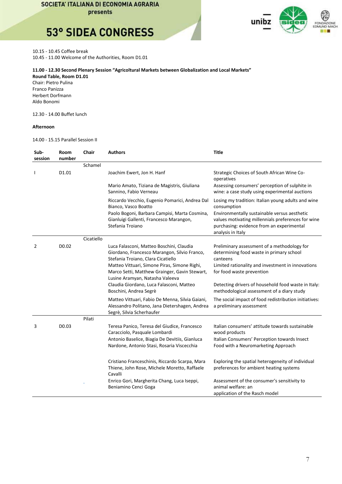presents

## **53° SIDEA CONGRESS**



10.15 - 10.45 Coffee break

10.45 - 11.00 Welcome of the Authorities, Room D1.01

### **11.00 - 12.30 Second Plenary Session "Agricoltural Markets between Globalization and Local Markets"**

**Round Table, Room D1.01**  Chair: Pietro Pulina Franco Panizza Herbert Dorfmann Aldo Bonomi

#### 12.30 - 14.00 Buffet lunch

#### **Afternoon**

14.00 - 15.15 Parallel Session II

| Sub-<br>session | Room<br>number    | Chair      | <b>Authors</b>                                                                                                                                                                                                                  | <b>Title</b>                                                                                                                                                                          |
|-----------------|-------------------|------------|---------------------------------------------------------------------------------------------------------------------------------------------------------------------------------------------------------------------------------|---------------------------------------------------------------------------------------------------------------------------------------------------------------------------------------|
|                 |                   | Schamel    |                                                                                                                                                                                                                                 |                                                                                                                                                                                       |
|                 | D <sub>1.01</sub> |            | Joachim Ewert, Jon H. Hanf                                                                                                                                                                                                      | Strategic Choices of South African Wine Co-<br>operatives                                                                                                                             |
|                 |                   |            | Mario Amato, Tiziana de Magistris, Giuliana<br>Sannino, Fabio Verneau                                                                                                                                                           | Assessing consumers' perception of sulphite in<br>wine: a case study using experimental auctions                                                                                      |
|                 |                   |            | Riccardo Vecchio, Eugenio Pomarici, Andrea Dal<br>Bianco, Vasco Boatto                                                                                                                                                          | Losing my tradition: Italian young adults and wine<br>consumption                                                                                                                     |
|                 |                   |            | Paolo Bogoni, Barbara Campisi, Marta Cosmina,<br>Gianluigi Gallenti, Francesco Marangon,<br>Stefania Troiano                                                                                                                    | Environmentally sustainable versus aesthetic<br>values motivating millennials preferences for wine<br>purchasing: evidence from an experimental<br>analysis in Italy                  |
|                 |                   | Cicatiello |                                                                                                                                                                                                                                 |                                                                                                                                                                                       |
| 2               | D <sub>0.02</sub> |            | Luca Falasconi, Matteo Boschini, Claudia<br>Giordano, Francesco Marangon, Silvio Franco,<br>Stefania Troiano, Clara Cicatiello<br>Matteo Vittuari, Simone Piras, Simone Righi,<br>Marco Setti, Matthew Grainger, Gavin Stewart, | Preliminary assessment of a methodology for<br>determining food waste in primary school<br>canteens<br>Limited rationality and investment in innovations<br>for food waste prevention |
|                 |                   |            | Lusine Aramyan, Natasha Valeeva<br>Claudia Giordano, Luca Falasconi, Matteo<br>Boschini, Andrea Segrè                                                                                                                           | Detecting drivers of household food waste in Italy:<br>methodological assessment of a diary study                                                                                     |
|                 |                   |            | Matteo Vittuari, Fabio De Menna, Silvia Gaiani,<br>Alessandro Politano, Jana Dietershagen, Andrea<br>Segrè, Silvia Scherhaufer                                                                                                  | The social impact of food redistribution initiatives:<br>a preliminary assessment                                                                                                     |
|                 |                   | Pilati     |                                                                                                                                                                                                                                 |                                                                                                                                                                                       |
| 3               | D0.03             |            | Teresa Panico, Teresa del Giudice, Francesco<br>Caracciolo, Pasquale Lombardi<br>Antonio Baselice, Biagia De Devitiis, Gianluca                                                                                                 | Italian consumers' attitude towards sustainable<br>wood products<br>Italian Consumers' Perception towards Insect                                                                      |
|                 |                   |            | Nardone, Antonio Stasi, Rosaria Viscecchia                                                                                                                                                                                      | Food with a Neuromarketing Approach                                                                                                                                                   |
|                 |                   |            | Cristiano Franceschinis, Riccardo Scarpa, Mara<br>Thiene, John Rose, Michele Moretto, Raffaele<br>Cavalli                                                                                                                       | Exploring the spatial heterogeneity of individual<br>preferences for ambient heating systems                                                                                          |
|                 |                   |            | Enrico Gori, Margherita Chang, Luca Iseppi,<br>Beniamino Cenci Goga                                                                                                                                                             | Assessment of the consumer's sensitivity to<br>animal welfare: an<br>application of the Rasch model                                                                                   |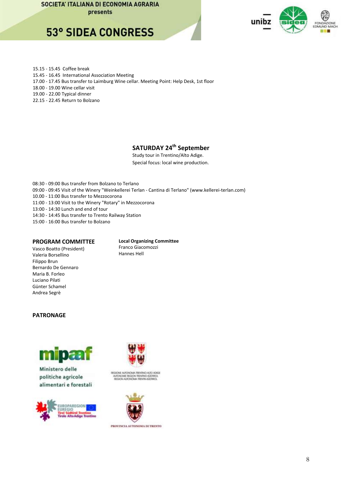presents

### **53° SIDEA CONGRESS**



15.15 - 15.45 Coffee break

- 15.45 16.45 International Association Meeting
- 17.00 17.45 Bus transfer to Laimburg Wine cellar. Meeting Point: Help Desk, 1st floor

18.00 - 19.00 Wine cellar visit

19.00 - 22.00 Typical dinner

22.15 - 22.45 Return to Bolzano

### **SATURDAY 24th September**

Study tour in Trentino/Alto Adige. Special focus: local wine production.

08:30 - 09:00 Bus transfer from Bolzano to Terlano

- 09:00 09:45 Visit of the Winery "Weinkellerei Terlan Cantina di Terlano" (www.kellerei-terlan.com)
- 10.00 11:00 Bus transfer to Mezzocorona
- 11:00 13:00 Visit to the Winery "Rotary" in Mezzocorona

13:00 - 14:30 Lunch and end of tour

- 14:30 14:45 Bus transfer to Trento Railway Station
- 15:00 16:00 Bus transfer to Bolzano

### **PROGRAM COMMITTEE**

**Local Organizing Committee**  Franco Giacomozzi Hannes Hell

### Vasco Boatto (President) Valeria Borsellino Filippo Brun Bernardo De Gennaro Maria B. Forleo Luciano Pilati Günter Schamel Andrea Segrè

### **PATRONAGE**



Ministero delle politiche agricole alimentari e forestali





regione autokoma teditiko auto adkia<br>Autokome region teditiko sudtroj.<br>Tegion autokoma teditik sudtroj.



PROVENCIA AUTONOMA DI TRENTO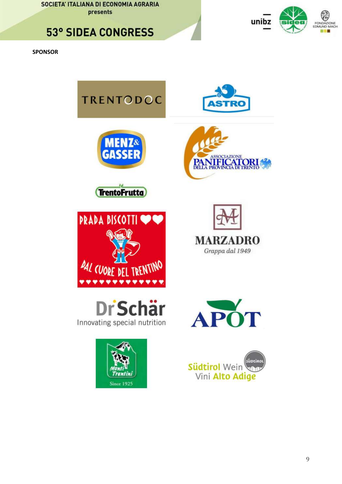### **53° SIDEA CONGRESS**



**SPONSOR**